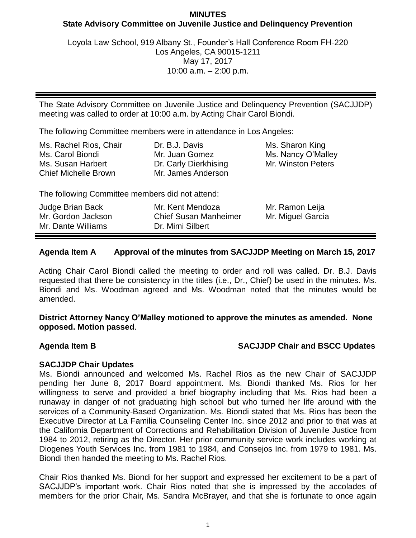## **MINUTES State Advisory Committee on Juvenile Justice and Delinquency Prevention**

Loyola Law School, 919 Albany St., Founder's Hall Conference Room FH-220 Los Angeles, CA 90015-1211 May 17, 2017 10:00 a.m. – 2:00 p.m.

The State Advisory Committee on Juvenile Justice and Delinquency Prevention (SACJJDP) meeting was called to order at 10:00 a.m. by Acting Chair Carol Biondi.

The following Committee members were in attendance in Los Angeles:

| Ms. Rachel Rios, Chair                           | Dr. B.J. Davis                              | Ms. Sharon King    |
|--------------------------------------------------|---------------------------------------------|--------------------|
| Ms. Carol Biondi                                 | Mr. Juan Gomez                              | Ms. Nancy O'Malley |
| Ms. Susan Harbert<br><b>Chief Michelle Brown</b> | Dr. Carly Dierkhising<br>Mr. James Anderson | Mr. Winston Peters |

The following Committee members did not attend:

| Judge Brian Back   | Mr. Kent Mendoza             | Mr. Ramon Leija   |
|--------------------|------------------------------|-------------------|
| Mr. Gordon Jackson | <b>Chief Susan Manheimer</b> | Mr. Miguel Garcia |
| Mr. Dante Williams | Dr. Mimi Silbert             |                   |

# **Agenda Item A Approval of the minutes from SACJJDP Meeting on March 15, 2017**

Acting Chair Carol Biondi called the meeting to order and roll was called. Dr. B.J. Davis requested that there be consistency in the titles (i.e., Dr., Chief) be used in the minutes. Ms. Biondi and Ms. Woodman agreed and Ms. Woodman noted that the minutes would be amended.

**District Attorney Nancy O'Malley motioned to approve the minutes as amended. None opposed. Motion passed**.

# **Agenda Item B SACJJDP Chair and BSCC Updates**

# **SACJJDP Chair Updates**

Ms. Biondi announced and welcomed Ms. Rachel Rios as the new Chair of SACJJDP pending her June 8, 2017 Board appointment. Ms. Biondi thanked Ms. Rios for her willingness to serve and provided a brief biography including that Ms. Rios had been a runaway in danger of not graduating high school but who turned her life around with the services of a Community-Based Organization. Ms. Biondi stated that Ms. Rios has been the Executive Director at La Familia Counseling Center Inc. since 2012 and prior to that was at the California Department of Corrections and Rehabilitation Division of Juvenile Justice from 1984 to 2012, retiring as the Director. Her prior community service work includes working at Diogenes Youth Services Inc. from 1981 to 1984, and Consejos Inc. from 1979 to 1981. Ms. Biondi then handed the meeting to Ms. Rachel Rios.

Chair Rios thanked Ms. Biondi for her support and expressed her excitement to be a part of SACJJDP's important work. Chair Rios noted that she is impressed by the accolades of members for the prior Chair, Ms. Sandra McBrayer, and that she is fortunate to once again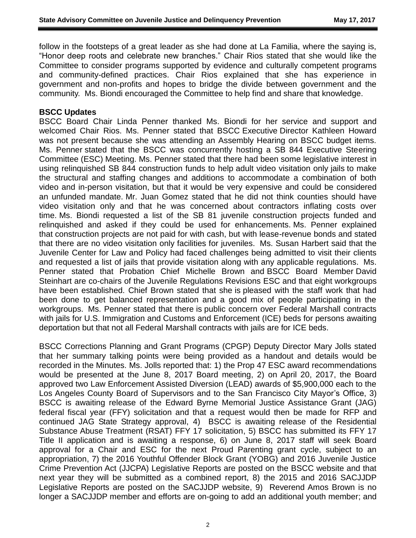follow in the footsteps of a great leader as she had done at La Familia, where the saying is, "Honor deep roots and celebrate new branches." Chair Rios stated that she would like the Committee to consider programs supported by evidence and culturally competent programs and community-defined practices. Chair Rios explained that she has experience in government and non-profits and hopes to bridge the divide between government and the community. Ms. Biondi encouraged the Committee to help find and share that knowledge.

### **BSCC Updates**

BSCC Board Chair Linda Penner thanked Ms. Biondi for her service and support and welcomed Chair Rios. Ms. Penner stated that BSCC Executive Director Kathleen Howard was not present because she was attending an Assembly Hearing on BSCC budget items. Ms. Penner stated that the BSCC was concurrently hosting a SB 844 Executive Steering Committee (ESC) Meeting. Ms. Penner stated that there had been some legislative interest in using relinquished SB 844 construction funds to help adult video visitation only jails to make the structural and staffing changes and additions to accommodate a combination of both video and in-person visitation, but that it would be very expensive and could be considered an unfunded mandate. Mr. Juan Gomez stated that he did not think counties should have video visitation only and that he was concerned about contractors inflating costs over time. Ms. Biondi requested a list of the SB 81 juvenile construction projects funded and relinquished and asked if they could be used for enhancements. Ms. Penner explained that construction projects are not paid for with cash, but with lease-revenue bonds and stated that there are no video visitation only facilities for juveniles. Ms. Susan Harbert said that the Juvenile Center for Law and Policy had faced challenges being admitted to visit their clients and requested a list of jails that provide visitation along with any applicable regulations. Ms. Penner stated that Probation Chief Michelle Brown and BSCC Board Member David Steinhart are co-chairs of the Juvenile Regulations Revisions ESC and that eight workgroups have been established. Chief Brown stated that she is pleased with the staff work that had been done to get balanced representation and a good mix of people participating in the workgroups. Ms. Penner stated that there is public concern over Federal Marshall contracts with jails for U.S. Immigration and Customs and Enforcement (ICE) beds for persons awaiting deportation but that not all Federal Marshall contracts with jails are for ICE beds.

BSCC Corrections Planning and Grant Programs (CPGP) Deputy Director Mary Jolls stated that her summary talking points were being provided as a handout and details would be recorded in the Minutes. Ms. Jolls reported that: 1) the Prop 47 ESC award recommendations would be presented at the June 8, 2017 Board meeting, 2) on April 20, 2017, the Board approved two Law Enforcement Assisted Diversion (LEAD) awards of \$5,900,000 each to the Los Angeles County Board of Supervisors and to the San Francisco City Mayor's Office, 3) BSCC is awaiting release of the Edward Byrne Memorial Justice Assistance Grant (JAG) federal fiscal year (FFY) solicitation and that a request would then be made for RFP and continued JAG State Strategy approval, 4) BSCC is awaiting release of the Residential Substance Abuse Treatment (RSAT) FFY 17 solicitation, 5) BSCC has submitted its FFY 17 Title II application and is awaiting a response, 6) on June 8, 2017 staff will seek Board approval for a Chair and ESC for the next Proud Parenting grant cycle, subject to an appropriation, 7) the 2016 Youthful Offender Block Grant (YOBG) and 2016 Juvenile Justice Crime Prevention Act (JJCPA) Legislative Reports are posted on the BSCC website and that next year they will be submitted as a combined report, 8) the 2015 and 2016 SACJJDP Legislative Reports are posted on the SACJJDP website, 9) Reverend Amos Brown is no longer a SACJJDP member and efforts are on-going to add an additional youth member; and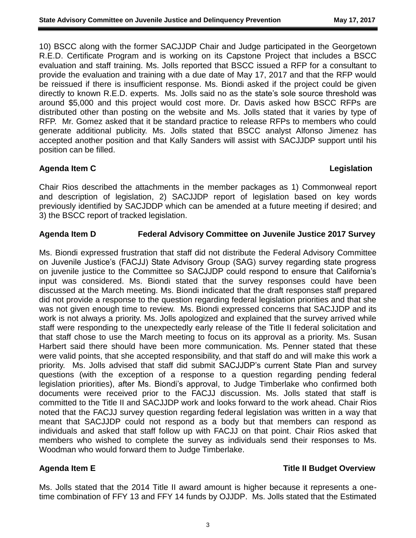10) BSCC along with the former SACJJDP Chair and Judge participated in the Georgetown R.E.D. Certificate Program and is working on its Capstone Project that includes a BSCC evaluation and staff training. Ms. Jolls reported that BSCC issued a RFP for a consultant to provide the evaluation and training with a due date of May 17, 2017 and that the RFP would be reissued if there is insufficient response. Ms. Biondi asked if the project could be given directly to known R.E.D. experts. Ms. Jolls said no as the state's sole source threshold was around \$5,000 and this project would cost more. Dr. Davis asked how BSCC RFPs are distributed other than posting on the website and Ms. Jolls stated that it varies by type of RFP. Mr. Gomez asked that it be standard practice to release RFPs to members who could generate additional publicity. Ms. Jolls stated that BSCC analyst Alfonso Jimenez has accepted another position and that Kally Sanders will assist with SACJJDP support until his position can be filled.

## **Agenda Item C Legislation**

Chair Rios described the attachments in the member packages as 1) Commonweal report and description of legislation, 2) SACJJDP report of legislation based on key words previously identified by SACJDDP which can be amended at a future meeting if desired; and 3) the BSCC report of tracked legislation.

## **Agenda Item D Federal Advisory Committee on Juvenile Justice 2017 Survey**

Ms. Biondi expressed frustration that staff did not distribute the Federal Advisory Committee on Juvenile Justice's (FACJJ) State Advisory Group (SAG) survey regarding state progress on juvenile justice to the Committee so SACJJDP could respond to ensure that California's input was considered. Ms. Biondi stated that the survey responses could have been discussed at the March meeting. Ms. Biondi indicated that the draft responses staff prepared did not provide a response to the question regarding federal legislation priorities and that she was not given enough time to review. Ms. Biondi expressed concerns that SACJJDP and its work is not always a priority. Ms. Jolls apologized and explained that the survey arrived while staff were responding to the unexpectedly early release of the Title II federal solicitation and that staff chose to use the March meeting to focus on its approval as a priority. Ms. Susan Harbert said there should have been more communication. Ms. Penner stated that these were valid points, that she accepted responsibility, and that staff do and will make this work a priority. Ms. Jolls advised that staff did submit SACJJDP's current State Plan and survey questions (with the exception of a response to a question regarding pending federal legislation priorities), after Ms. Biondi's approval, to Judge Timberlake who confirmed both documents were received prior to the FACJJ discussion. Ms. Jolls stated that staff is committed to the Title II and SACJJDP work and looks forward to the work ahead. Chair Rios noted that the FACJJ survey question regarding federal legislation was written in a way that meant that SACJJDP could not respond as a body but that members can respond as individuals and asked that staff follow up with FACJJ on that point. Chair Rios asked that members who wished to complete the survey as individuals send their responses to Ms. Woodman who would forward them to Judge Timberlake.

# **Agenda Item E Title II Budget Overview**

Ms. Jolls stated that the 2014 Title II award amount is higher because it represents a onetime combination of FFY 13 and FFY 14 funds by OJJDP. Ms. Jolls stated that the Estimated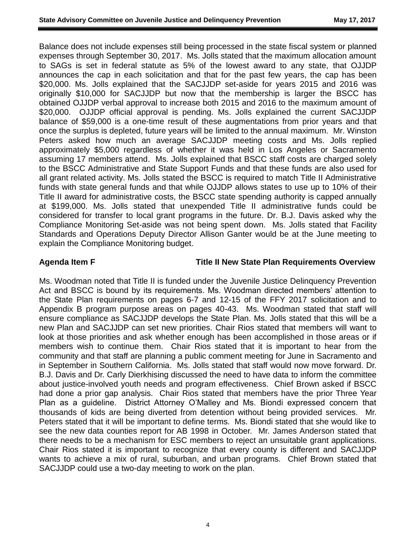Balance does not include expenses still being processed in the state fiscal system or planned expenses through September 30, 2017. Ms. Jolls stated that the maximum allocation amount to SAGs is set in federal statute as 5% of the lowest award to any state, that OJJDP announces the cap in each solicitation and that for the past few years, the cap has been \$20,000. Ms. Jolls explained that the SACJJDP set-aside for years 2015 and 2016 was originally \$10,000 for SACJJDP but now that the membership is larger the BSCC has obtained OJJDP verbal approval to increase both 2015 and 2016 to the maximum amount of \$20,000. OJJDP official approval is pending. Ms. Jolls explained the current SACJJDP balance of \$59,000 is a one-time result of these augmentations from prior years and that once the surplus is depleted, future years will be limited to the annual maximum. Mr. Winston Peters asked how much an average SACJJDP meeting costs and Ms. Jolls replied approximately \$5,000 regardless of whether it was held in Los Angeles or Sacramento assuming 17 members attend. Ms. Jolls explained that BSCC staff costs are charged solely to the BSCC Administrative and State Support Funds and that these funds are also used for all grant related activity. Ms. Jolls stated the BSCC is required to match Title II Administrative funds with state general funds and that while OJJDP allows states to use up to 10% of their Title II award for administrative costs, the BSCC state spending authority is capped annually at \$199,000. Ms. Jolls stated that unexpended Title II administrative funds could be considered for transfer to local grant programs in the future. Dr. B.J. Davis asked why the Compliance Monitoring Set-aside was not being spent down. Ms. Jolls stated that Facility Standards and Operations Deputy Director Allison Ganter would be at the June meeting to explain the Compliance Monitoring budget.

### **Agenda Item F Title II New State Plan Requirements Overview**

Ms. Woodman noted that Title II is funded under the Juvenile Justice Delinquency Prevention Act and BSCC is bound by its requirements. Ms. Woodman directed members' attention to the State Plan requirements on pages 6-7 and 12-15 of the FFY 2017 solicitation and to Appendix B program purpose areas on pages 40-43. Ms. Woodman stated that staff will ensure compliance as SACJJDP develops the State Plan. Ms. Jolls stated that this will be a new Plan and SACJJDP can set new priorities. Chair Rios stated that members will want to look at those priorities and ask whether enough has been accomplished in those areas or if members wish to continue them. Chair Rios stated that it is important to hear from the community and that staff are planning a public comment meeting for June in Sacramento and in September in Southern California. Ms. Jolls stated that staff would now move forward. Dr. B.J. Davis and Dr. Carly Dierkhising discussed the need to have data to inform the committee about justice-involved youth needs and program effectiveness. Chief Brown asked if BSCC had done a prior gap analysis. Chair Rios stated that members have the prior Three Year Plan as a guideline. District Attorney O'Malley and Ms. Biondi expressed concern that thousands of kids are being diverted from detention without being provided services. Mr. Peters stated that it will be important to define terms. Ms. Biondi stated that she would like to see the new data counties report for AB 1998 in October. Mr. James Anderson stated that there needs to be a mechanism for ESC members to reject an unsuitable grant applications. Chair Rios stated it is important to recognize that every county is different and SACJJDP wants to achieve a mix of rural, suburban, and urban programs. Chief Brown stated that SACJJDP could use a two-day meeting to work on the plan.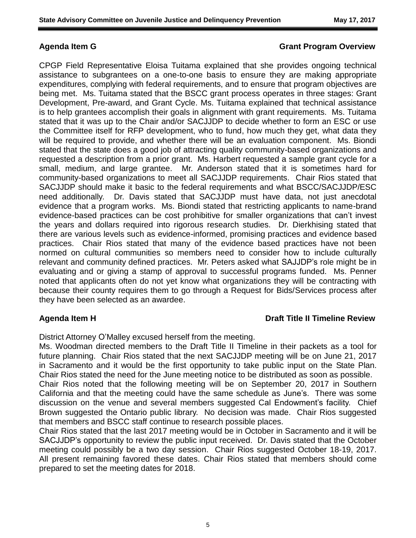## **Agenda Item G Grant Program Overview**

CPGP Field Representative Eloisa Tuitama explained that she provides ongoing technical assistance to subgrantees on a one-to-one basis to ensure they are making appropriate expenditures, complying with federal requirements, and to ensure that program objectives are being met. Ms. Tuitama stated that the BSCC grant process operates in three stages: Grant Development, Pre-award, and Grant Cycle. Ms. Tuitama explained that technical assistance is to help grantees accomplish their goals in alignment with grant requirements. Ms. Tuitama stated that it was up to the Chair and/or SACJJDP to decide whether to form an ESC or use the Committee itself for RFP development, who to fund, how much they get, what data they will be required to provide, and whether there will be an evaluation component. Ms. Biondi stated that the state does a good job of attracting quality community-based organizations and requested a description from a prior grant. Ms. Harbert requested a sample grant cycle for a small, medium, and large grantee. Mr. Anderson stated that it is sometimes hard for community-based organizations to meet all SACJJDP requirements. Chair Rios stated that SACJJDP should make it basic to the federal requirements and what BSCC/SACJJDP/ESC need additionally. Dr. Davis stated that SACJJDP must have data, not just anecdotal evidence that a program works. Ms. Biondi stated that restricting applicants to name-brand evidence-based practices can be cost prohibitive for smaller organizations that can't invest the years and dollars required into rigorous research studies. Dr. Dierkhising stated that there are various levels such as evidence-informed, promising practices and evidence based practices. Chair Rios stated that many of the evidence based practices have not been normed on cultural communities so members need to consider how to include culturally relevant and community defined practices. Mr. Peters asked what SAJJDP's role might be in evaluating and or giving a stamp of approval to successful programs funded. Ms. Penner noted that applicants often do not yet know what organizations they will be contracting with because their county requires them to go through a Request for Bids/Services process after they have been selected as an awardee.

## **Agenda Item H Draft Title II Timeline Review**

District Attorney O'Malley excused herself from the meeting.

Ms. Woodman directed members to the Draft Title II Timeline in their packets as a tool for future planning. Chair Rios stated that the next SACJJDP meeting will be on June 21, 2017 in Sacramento and it would be the first opportunity to take public input on the State Plan. Chair Rios stated the need for the June meeting notice to be distributed as soon as possible.

Chair Rios noted that the following meeting will be on September 20, 2017 in Southern California and that the meeting could have the same schedule as June's. There was some discussion on the venue and several members suggested Cal Endowment's facility. Chief Brown suggested the Ontario public library. No decision was made. Chair Rios suggested that members and BSCC staff continue to research possible places.

Chair Rios stated that the last 2017 meeting would be in October in Sacramento and it will be SACJJDP's opportunity to review the public input received. Dr. Davis stated that the October meeting could possibly be a two day session. Chair Rios suggested October 18-19, 2017. All present remaining favored these dates. Chair Rios stated that members should come prepared to set the meeting dates for 2018.